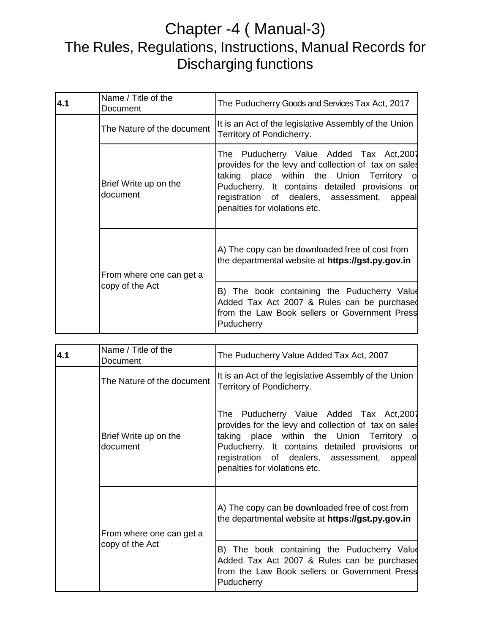## Chapter -4 ( Manual-3) The Rules, Regulations, Instructions, Manual Records for Discharging functions

| 4.1 | Name / Title of the<br>Document             | The Puducherry Goods and Services Tax Act, 2017                                                                                                                                                                                                                                          |
|-----|---------------------------------------------|------------------------------------------------------------------------------------------------------------------------------------------------------------------------------------------------------------------------------------------------------------------------------------------|
|     | The Nature of the document                  | It is an Act of the legislative Assembly of the Union<br>Territory of Pondicherry.                                                                                                                                                                                                       |
|     | Brief Write up on the<br>document           | The Puducherry Value Added Tax Act,2007<br>provides for the levy and collection of tax on sales<br>taking place within the Union Territory<br><b>O</b><br>Puducherry. It contains detailed provisions or<br>registration of dealers, assessment, appeal<br>penalties for violations etc. |
|     | From where one can get a<br>copy of the Act | A) The copy can be downloaded free of cost from<br>the departmental website at https://gst.py.gov.in                                                                                                                                                                                     |
|     |                                             | B) The book containing the Puducherry Value<br>Added Tax Act 2007 & Rules can be purchased<br>from the Law Book sellers or Government Press<br>Puducherry                                                                                                                                |

| 4.1 | Name / Title of the<br>Document             | The Puducherry Value Added Tax Act, 2007                                                                                                                                                                                                                                           |
|-----|---------------------------------------------|------------------------------------------------------------------------------------------------------------------------------------------------------------------------------------------------------------------------------------------------------------------------------------|
|     | The Nature of the document                  | It is an Act of the legislative Assembly of the Union<br>Territory of Pondicherry.                                                                                                                                                                                                 |
|     | Brief Write up on the<br>document           | The Puducherry Value Added Tax Act,2007<br>provides for the levy and collection of tax on sales<br>taking place within the Union Territory of<br>Puducherry. It contains detailed provisions or<br>registration of dealers, assessment,<br>appeal<br>penalties for violations etc. |
|     | From where one can get a<br>copy of the Act | A) The copy can be downloaded free of cost from<br>the departmental website at https://gst.py.gov.in                                                                                                                                                                               |
|     |                                             | B) The book containing the Puducherry Value<br>Added Tax Act 2007 & Rules can be purchased<br>from the Law Book sellers or Government Press<br>Puducherry                                                                                                                          |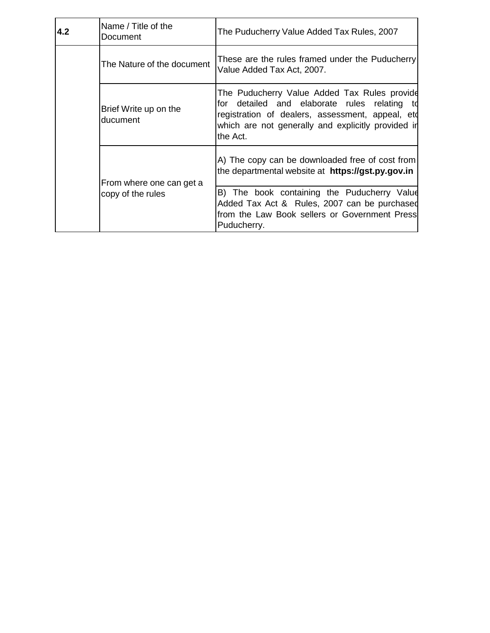| 4.2 | Name / Title of the<br>Document               | The Puducherry Value Added Tax Rules, 2007                                                                                                                                                                         |
|-----|-----------------------------------------------|--------------------------------------------------------------------------------------------------------------------------------------------------------------------------------------------------------------------|
|     | The Nature of the document                    | These are the rules framed under the Puducherry<br>Value Added Tax Act, 2007.                                                                                                                                      |
|     | Brief Write up on the<br>ducument             | The Puducherry Value Added Tax Rules provide<br>for detailed and elaborate rules relating to<br>registration of dealers, assessment, appeal, etd<br>which are not generally and explicitly provided in<br>the Act. |
|     | From where one can get a<br>copy of the rules | A) The copy can be downloaded free of cost from<br>the departmental website at <b>https://gst.py.gov.in</b>                                                                                                        |
|     |                                               | B) The book containing the Puducherry Value<br>Added Tax Act & Rules, 2007 can be purchased<br>from the Law Book sellers or Government Press<br>Puducherry.                                                        |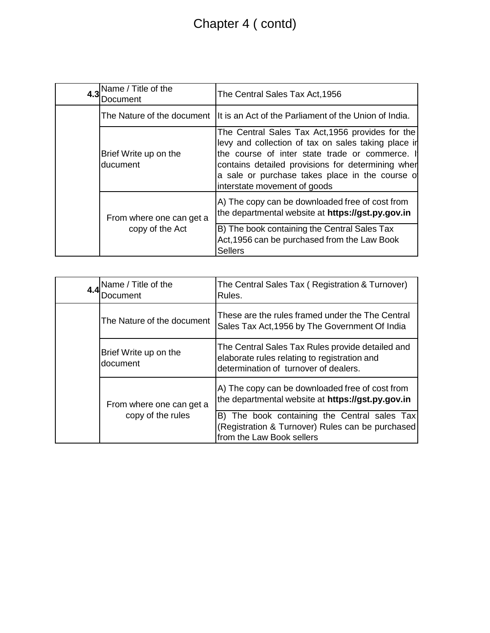## Chapter 4 ( contd)

| 4.3 | Name / Title of the<br>Document             | The Central Sales Tax Act, 1956                                                                                                                                                                                                                                                                    |
|-----|---------------------------------------------|----------------------------------------------------------------------------------------------------------------------------------------------------------------------------------------------------------------------------------------------------------------------------------------------------|
|     | The Nature of the document                  | It is an Act of the Parliament of the Union of India.                                                                                                                                                                                                                                              |
|     | Brief Write up on the<br>ducument           | The Central Sales Tax Act, 1956 provides for the<br>levy and collection of tax on sales taking place in<br>the course of inter state trade or commerce. If<br>contains detailed provisions for determining when<br>a sale or purchase takes place in the course of<br>interstate movement of goods |
|     | From where one can get a<br>copy of the Act | A) The copy can be downloaded free of cost from<br>the departmental website at https://gst.py.gov.in                                                                                                                                                                                               |
|     |                                             | B) The book containing the Central Sales Tax<br>Act, 1956 can be purchased from the Law Book<br><b>Sellers</b>                                                                                                                                                                                     |

|  | 4.4 Name / Title of the<br>Document           | The Central Sales Tax (Registration & Turnover)<br>Rules.                                                                                 |
|--|-----------------------------------------------|-------------------------------------------------------------------------------------------------------------------------------------------|
|  | The Nature of the document                    | These are the rules framed under the The Central<br>Sales Tax Act, 1956 by The Government Of India                                        |
|  | Brief Write up on the<br>document             | The Central Sales Tax Rules provide detailed and<br>elaborate rules relating to registration and<br>determination of turnover of dealers. |
|  | From where one can get a<br>copy of the rules | A) The copy can be downloaded free of cost from<br>the departmental website at https://gst.py.gov.in                                      |
|  |                                               | B) The book containing the Central sales Tax<br>(Registration & Turnover) Rules can be purchased<br>from the Law Book sellers             |